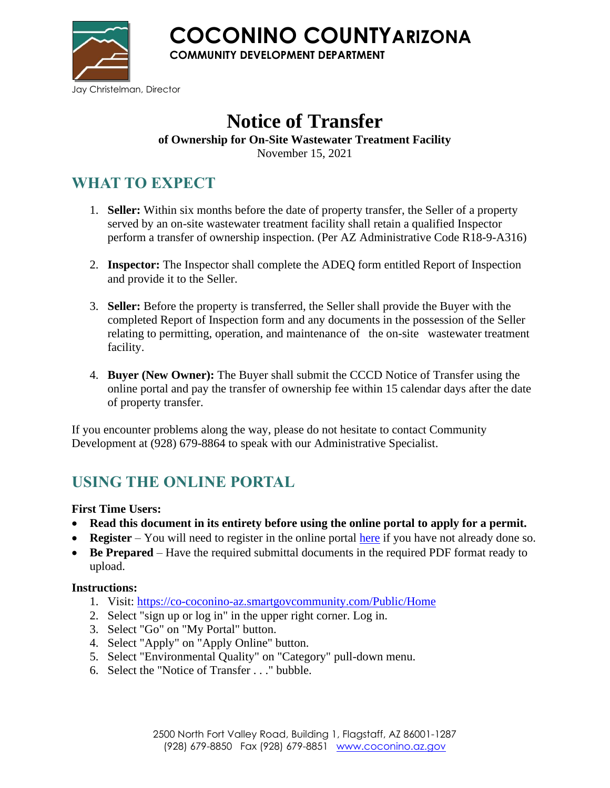

**COCONINO COUNTYARIZONA**

**COMMUNITY DEVELOPMENT DEPARTMENT**

# **Notice of Transfer**

**of Ownership for On-Site Wastewater Treatment Facility** 

November 15, 2021

## **WHAT TO EXPECT**

- 1. **Seller:** Within six months before the date of property transfer, the Seller of a property served by an on-site wastewater treatment facility shall retain a qualified Inspector perform a transfer of ownership inspection. (Per AZ Administrative Code R18-9-A316)
- 2. **Inspector:** The Inspector shall complete the ADEQ form entitled Report of Inspection and provide it to the Seller.
- 3. **Seller:** Before the property is transferred, the Seller shall provide the Buyer with the completed Report of Inspection form and any documents in the possession of the Seller relating to permitting, operation, and maintenance of the on-site wastewater treatment facility.
- 4. **Buyer (New Owner):** The Buyer shall submit the CCCD Notice of Transfer using the online portal and pay the transfer of ownership fee within 15 calendar days after the date of property transfer.

If you encounter problems along the way, please do not hesitate to contact Community Development at (928) 679-8864 to speak with our Administrative Specialist.

# **USING THE ONLINE PORTAL**

**First Time Users:**

- **Read this document in its entirety before using the online portal to apply for a permit.**
- **Register** You will need to register in the online portal [here](https://co-coconino-az.smartgovcommunity.com/Public/Home) if you have not already done so.
- **Be Prepared** Have the required submittal documents in the required PDF format ready to upload.

#### **Instructions:**

- 1. Visit:<https://co-coconino-az.smartgovcommunity.com/Public/Home>
- 2. Select "sign up or log in" in the upper right corner. Log in.
- 3. Select "Go" on "My Portal" button.
- 4. Select "Apply" on "Apply Online" button.
- 5. Select "Environmental Quality" on "Category" pull-down menu.
- 6. Select the "Notice of Transfer . . ." bubble.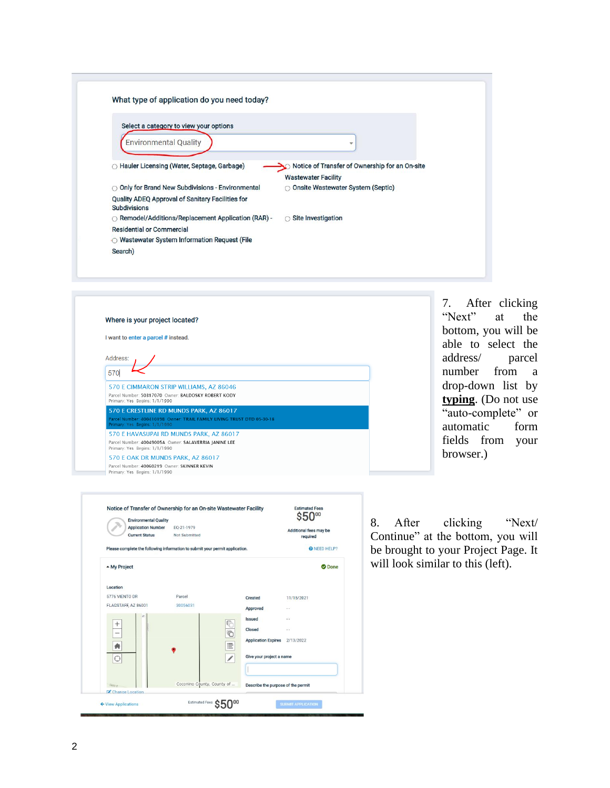| What type of application do you need today?                             |                                                |
|-------------------------------------------------------------------------|------------------------------------------------|
| Select a category to view your options                                  |                                                |
| <b>Environmental Quality</b>                                            | ÷                                              |
| ◯ Hauler Licensing (Water, Septage, Garbage)                            | Notice of Transfer of Ownership for an On-site |
|                                                                         | <b>Wastewater Facility</b>                     |
| O Only for Brand New Subdivisions - Environmental                       | O Onsite Wastewater System (Septic)            |
| Quality ADEQ Approval of Sanitary Facilities for<br><b>Subdivisions</b> |                                                |
| O Remodel/Additions/Replacement Application (RAR) -                     | $\bigcirc$ Site Investigation                  |
| <b>Residential or Commercial</b>                                        |                                                |
| ○ Wastewater System Information Request (File                           |                                                |



7. After clicking "Next" at the bottom, you will be able to select the address/ parcel number from a drop -down list by **typing**. (Do not use "auto -complete" or automatic form fields from your browser.)



8. After clicking "Next/ Continue" at the bottom, you will be brought to your Project Page. It will look similar to this (left).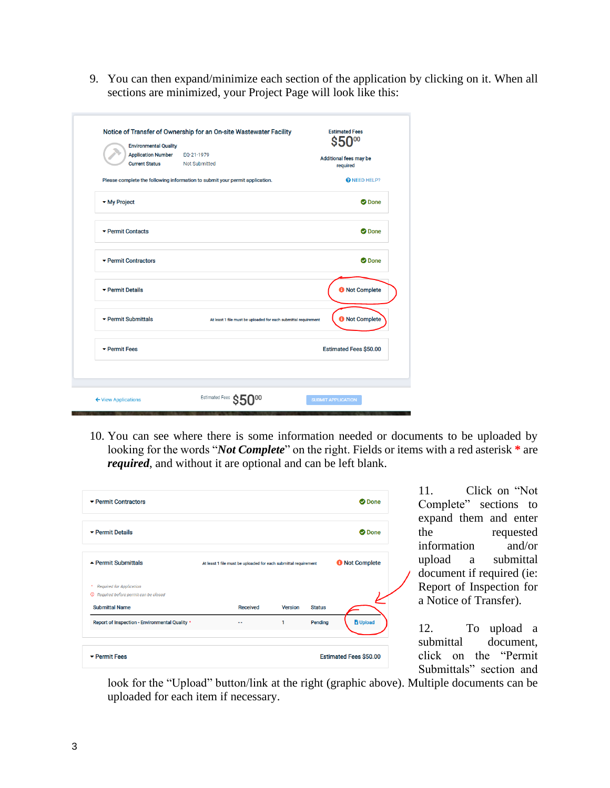9. You can then expand/minimize each section of the application by clicking on it. When all sections are minimized, your Project Page will look like this:

| Notice of Transfer of Ownership for an On-site Wastewater Facility | <b>Estimated Fees</b>                                                        |                           |  |  |
|--------------------------------------------------------------------|------------------------------------------------------------------------------|---------------------------|--|--|
| <b>Environmental Quality</b>                                       |                                                                              | S50 <sub>00</sub>         |  |  |
| <b>Application Number</b>                                          | EQ-21-1979                                                                   | Additional fees may be    |  |  |
| <b>Current Status</b>                                              | <b>Not Submitted</b>                                                         | required                  |  |  |
|                                                                    | Please complete the following information to submit your permit application. | <b>@</b> NEED HELP?       |  |  |
| • My Project                                                       |                                                                              | <b>O</b> Done             |  |  |
| ▼ Permit Contacts                                                  |                                                                              | <b>O</b> Done             |  |  |
| $\blacktriangleright$ Permit Contractors                           |                                                                              | <b>O</b> Done             |  |  |
| ▼ Permit Details                                                   |                                                                              | <b>O</b> Not Complete     |  |  |
| ▼ Permit Submittals                                                | At least 1 file must be uploaded for each submittal requirement              | <b>O</b> Not Complete     |  |  |
| ▼ Permit Fees                                                      |                                                                              | Estimated Fees \$50.00    |  |  |
|                                                                    |                                                                              |                           |  |  |
| ← View Applications                                                | Estimated Fees C                                                             | <b>SUBMIT APPLICATION</b> |  |  |

10. You can see where there is some information needed or documents to be uploaded by looking for the words "*Not Complete*" on the right. Fields or items with a red asterisk **\*** are *required*, and without it are optional and can be left blank.

| ▼ Permit Contractors                              |                                                                 |                 |                |                       | <b>O</b> Done   |
|---------------------------------------------------|-----------------------------------------------------------------|-----------------|----------------|-----------------------|-----------------|
| ▼ Permit Details                                  |                                                                 |                 |                |                       | <b>O</b> Done   |
| $\triangle$ Permit Submittals                     | At least 1 file must be uploaded for each submittal requirement |                 |                | <b>O</b> Not Complete |                 |
| <b>Required for Application</b><br>٠              |                                                                 |                 |                |                       |                 |
| <sup>O</sup> Required before permit can be closed |                                                                 |                 |                |                       |                 |
| <b>Submittal Name</b>                             |                                                                 | <b>Received</b> | <b>Version</b> | <b>Status</b>         |                 |
| Report of Inspection - Environmental Quality *    |                                                                 |                 | 1              | Pending               | <b>G</b> Upload |
|                                                   |                                                                 |                 |                |                       |                 |

11. Click on "Not Complete" sections to expand them and enter the requested information and/or upload a submittal document if required (ie: Report of Inspection for a Notice of Transfer).

12. To upload a submittal document, click on the "Permit Submittals" section and

look for the "Upload" button/link at the right (graphic above). Multiple documents can be uploaded for each item if necessary.